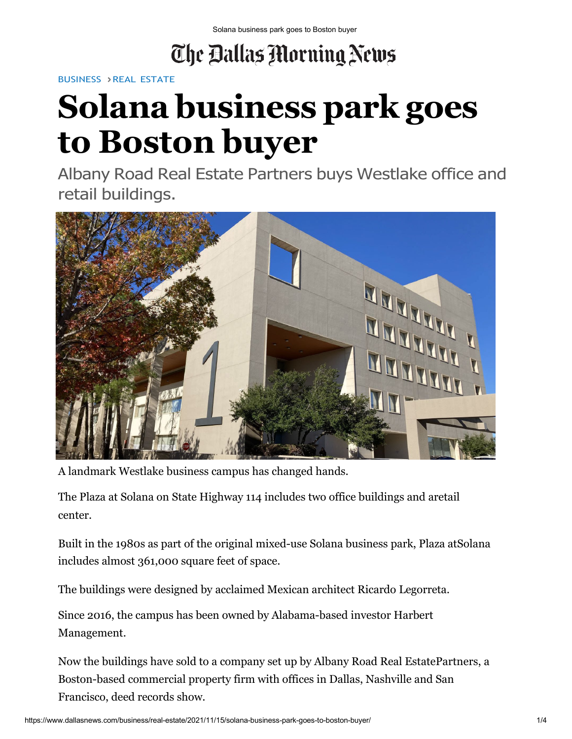## The Ballas Morning News

[BUSINESS](https://www.dallasnews.com/business/) > REAL [ESTATE](https://www.dallasnews.com/business/real-estate/)

## **Solana business park goes to Boston buyer**

Albany Road Real Estate Partners buys Westlake office and retail buildings.



A landmark Westlake business campus has changed hands.

The Plaza at Solana on State Highway 114 includes two office buildings and aretail center.

Built in the 1980s as part of the original mixed-use Solana business park, Plaza atSolana includes almost 361,000 square feet of space.

The buildings were designed by acclaimed Mexican architect Ricardo Legorreta.

Since 2016, the campus has been owned by Alabama-based investor Harbert Management.

Now the buildings have sold to a company set up by Albany Road Real EstatePartners, a Boston-based commercial property firm with offices in Dallas, Nashville and San Francisco, deed records show.